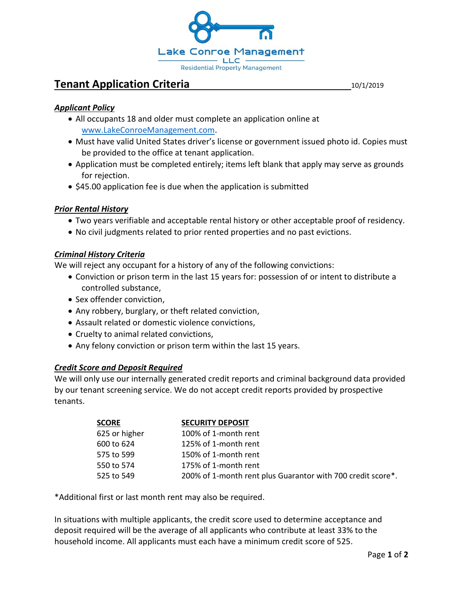

# **Tenant Application Criteria 10/1/2019**

## *Applicant Policy*

- All occupants 18 and older must complete an application online at [www.LakeConroeManagement.com.](www.LakeConroeManagement.com)
- Must have valid United States driver's license or government issued photo id. Copies must be provided to the office at tenant application.
- Application must be completed entirely; items left blank that apply may serve as grounds for rejection.
- \$45.00 application fee is due when the application is submitted

## *Prior Rental History*

- Two years verifiable and acceptable rental history or other acceptable proof of residency.
- No civil judgments related to prior rented properties and no past evictions.

## *Criminal History Criteria*

We will reject any occupant for a history of any of the following convictions:

- Conviction or prison term in the last 15 years for: possession of or intent to distribute a controlled substance,
- Sex offender conviction,
- Any robbery, burglary, or theft related conviction,
- Assault related or domestic violence convictions,
- Cruelty to animal related convictions,
- Any felony conviction or prison term within the last 15 years.

## *Credit Score and Deposit Required*

We will only use our internally generated credit reports and criminal background data provided by our tenant screening service. We do not accept credit reports provided by prospective tenants.

| <b>SCORE</b>  | <b>SECURITY DEPOSIT</b>                                     |
|---------------|-------------------------------------------------------------|
| 625 or higher | 100% of 1-month rent                                        |
| 600 to 624    | 125% of 1-month rent                                        |
| 575 to 599    | 150% of 1-month rent                                        |
| 550 to 574    | 175% of 1-month rent                                        |
| 525 to 549    | 200% of 1-month rent plus Guarantor with 700 credit score*. |

\*Additional first or last month rent may also be required.

In situations with multiple applicants, the credit score used to determine acceptance and deposit required will be the average of all applicants who contribute at least 33% to the household income. All applicants must each have a minimum credit score of 525.